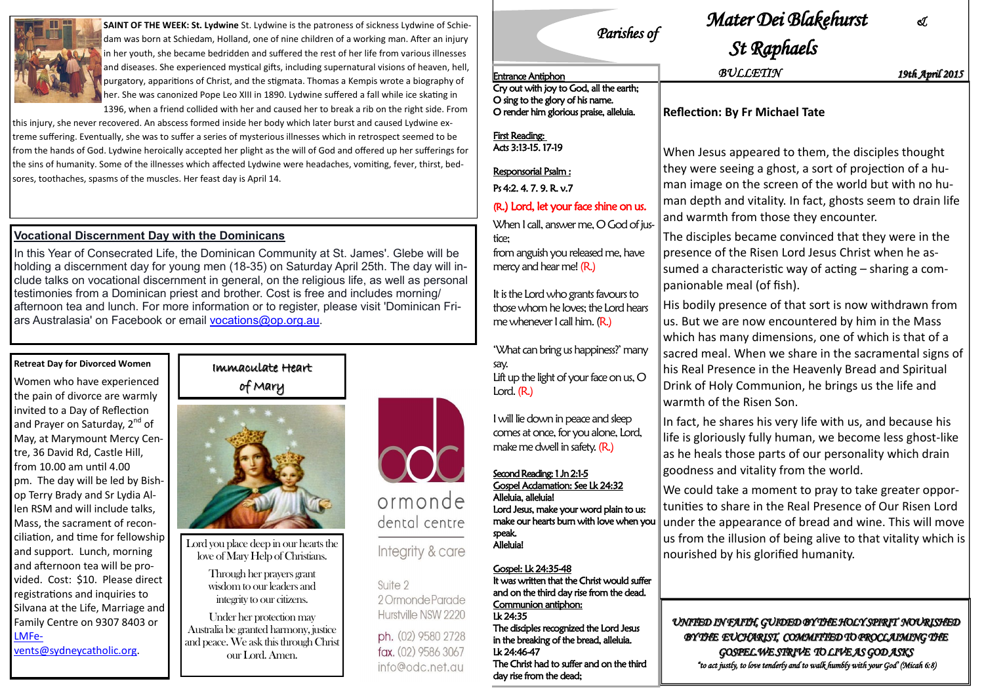## Immaculate Heart



Lord you place deep in our hearts the love of Mary Help of Christians.

> Through her prayers grant wisdom to our leaders and integrity to our citizens.

Under her protection may Australia be granted harmony, justice and peace. We ask this through Christ our Lord. Amen.



# dental centre

## Integrity & care

Suite 2 2 Ormonde Parade Hurstville NSW 2220

ph. (02) 9580 2728 fax. (02) 9586 3067 info@odc.net.au



**SAINT OF THE WEEK: St. Lydwine** St. Lydwine is the patroness of sickness Lydwine of Schiedam was born at Schiedam, Holland, one of nine children of a working man. After an injury in her youth, she became bedridden and suffered the rest of her life from various illnesses and diseases. She experienced mystical gifts, including supernatural visions of heaven, hell, purgatory, apparitions of Christ, and the stigmata. Thomas a Kempis wrote a biography of her. She was canonized Pope Leo XIII in 1890. Lydwine suffered a fall while ice skating in 1396, when a friend collided with her and caused her to break a rib on the right side. From

this injury, she never recovered. An abscess formed inside her body which later burst and caused Lydwine extreme suffering. Eventually, she was to suffer a series of mysterious illnesses which in retrospect seemed to be from the hands of God. Lydwine heroically accepted her plight as the will of God and offered up her sufferings for the sins of humanity. Some of the illnesses which affected Lydwine were headaches, vomiting, fever, thirst, bedsores, toothaches, spasms of the muscles. Her feast day is April 14.

#### **Retreat Day for Divorced Women**

Women who have experienced the pain of divorce are warmly invited to a Day of Reflection and Prayer on Saturday, 2<sup>nd</sup> of May, at Marymount Mercy Centre, 36 David Rd, Castle Hill, from 10.00 am until 4.00 pm. The day will be led by Bishop Terry Brady and Sr Lydia Allen RSM and will include talks, Mass, the sacrament of reconciliation, and time for fellowship and support. Lunch, morning and afternoon tea will be provided. Cost: \$10. Please direct registrations and inquiries to Silvana at the Life, Marriage and Family Centre on 9307 8403 or [LMFe](mailto:LMFevents@sydneycatholic.org)[vents@sydneycatholic.org.](mailto:LMFevents@sydneycatholic.org)

#### **Vocational Discernment Day with the Dominicans**

When I call, answer me, O God of justice;

In this Year of Consecrated Life, the Dominican Community at St. James'. Glebe will be holding a discernment day for young men (18-35) on Saturday April 25th. The day will include talks on vocational discernment in general, on the religious life, as well as personal testimonies from a Dominican priest and brother. Cost is free and includes morning/ afternoon tea and lunch. For more information or to register, please visit 'Dominican Friars Australasia' on Facebook or email [vocations@op.org.au.](mailto:vocations@op.org.au)

#### Second Reading: 1 Jn 2:1-5 Gospel Acclamation: See Lk 24:32

man image on the screen of the world but with no human depth and vitality. In fact, ghosts seem to drain life

The disciples became convinced that they were in the

His bodily presence of that sort is now withdrawn from sacred meal. When we share in the sacramental signs of

## *Parishes of Mater Dei Blakehurst & St Raphaels*  **Reflection: By Fr Michael Tate** When Jesus appeared to them, the disciples thought they were seeing a ghost, a sort of projection of a huand warmth from those they encounter. presence of the Risen Lord Jesus Christ when he assumed a characteristic way of acting – sharing a companionable meal (of fish). us. But we are now encountered by him in the Mass which has many dimensions, one of which is that of a his Real Presence in the Heavenly Bread and Spiritual Drink of Holy Communion, he brings us the life and warmth of the Risen Son. as he heals those parts of our personality which drain goodness and vitality from the world. nourished by his glorified humanity. Entrance Antiphon *BULLETIN 19th April 2015*

In fact, he shares his very life with us, and because his life is gloriously fully human, we become less ghost-like

We could take a moment to pray to take greater opportunities to share in the Real Presence of Our Risen Lord under the appearance of bread and wine. This will move us from the illusion of being alive to that vitality which is

*UNITED IN FAITH, GUIDED BY THE HOLY SPIRIT NOURISHED BY THE EUCHARIST, COMMITTED TO PROCLAIMING THE GOSPEL.WE STRIVE TO LIVE AS GOD ASKS "to act justly, to love tenderly and to walk humbly with your God' (Micah 6:8)* 

Cry out with joy to God, all the earth; O sing to the glory of his name. O render him glorious praise, alleluia.

First Reading: Acts 3:13-15. 17-19

Responsorial Psalm : Ps 4:2. 4. 7. 9. R. v.7

#### (R.) Lord, let your face shine on us.

from anguish you released me, have mercy and hear me! (R.)

It is the Lord who grants favours to those whom he loves; the Lord hears me whenever I call him. (R.)

"What can bring us happiness?" many say.

Lift up the light of your face on us, O Lord. (R.)

I will lie down in peace and sleep comes at once, for you alone, Lord, make me dwell in safety. (R.)

Alleluia, alleluia! Lord Jesus, make your word plain to us: make our hearts burn with love when you speak. Alleluia!

Gospel: Lk 24:35-48 It was written that the Christ would suffer and on the third day rise from the dead. Communion antiphon: Lk 24:35 The disciples recognized the Lord Jesus in the breaking of the bread, alleluia. Lk 24:46-47 The Christ had to suffer and on the third day rise from the dead;